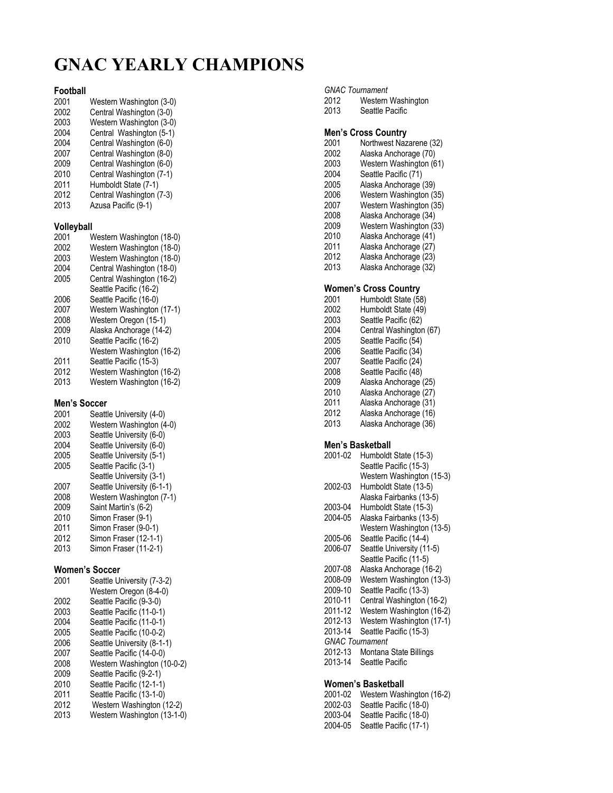# **GNAC YEARLY CHAMPIONS**

# **Football**

- Western Washington (3-0)
- 2002 Central Washington (3-0)
- 2003 Western Washington (3-0)<br>2004 Central Washington (5-1) 2004 Central Washington (5-1)<br>2004 Central Washington (6-0)
- 2004 Central Washington (6-0)
- Central Washington (8-0) 2009 Central Washington (6-0)
- 2010 Central Washington (7-1)
- 2011 Humboldt State (7-1)
- 2012 Central Washington (7-3)
- 2013 Azusa Pacific (9-1)

## **Volleyball**

- 2001 Western Washington (18-0)<br>2002 Western Washington (18-0) 2002 Western Washington (18-0) Western Washington (18-0) 2004 Central Washington (18-0) 2005 Central Washington (16-2) Seattle Pacific (16-2)
- 2006 Seattle Pacific (16-0)
- 2007 Western Washington (17-1)
- 2008 Western Oregon (15-1) 2009 Alaska Anchorage (14-2)
- 2010 Seattle Pacific (16-2)
- Western Washington (16-2)
- 2011 Seattle Pacific (15-3)
- 2012 Western Washington (16-2)
- Western Washington (16-2)

# **Men's Soccer**

- 2001 Seattle University (4-0) 2002 Western Washington (4-0)<br>2003 Seattle University (6-0) 2003 Seattle University (6-0) Seattle University (6-0) 2005 Seattle University (5-1) 2005 Seattle Pacific (3-1) Seattle University (3-1) 2007 Seattle University (6-1-1) 2008 Western Washington (7-1) 2009 Saint Martin's (6-2) 2010 Simon Fraser (9-1) 2011 Simon Fraser (9-0-1) 2012 Simon Fraser (12-1-1)
- 2013 Simon Fraser (11-2-1)

## **Women's Soccer**

| 2001 | Seattle University (7-3-2)  |
|------|-----------------------------|
|      | Western Oregon (8-4-0)      |
| 2002 | Seattle Pacific (9-3-0)     |
| 2003 | Seattle Pacific (11-0-1)    |
| 2004 | Seattle Pacific (11-0-1)    |
| 2005 | Seattle Pacific (10-0-2)    |
| 2006 | Seattle University (8-1-1)  |
| 2007 | Seattle Pacific (14-0-0)    |
| 2008 | Western Washington (10-0-2) |
| 2009 | Seattle Pacific (9-2-1)     |
| 2010 | Seattle Pacific (12-1-1)    |
| 2011 | Seattle Pacific (13-1-0)    |
| 2012 | Western Washington (12-2)   |

2013 Western Washington (13-1-0)

## *GNAC Tournament*

- 2012 Western Washington
- 2013 Seattle Pacific

## **Men's Cross Country**

- 2001 Northwest Nazarene (32)
- Alaska Anchorage (70)
- 2003 Western Washington (61) 2004 Seattle Pacific (71)
- 2005 Alaska Anchorage (39)
- 2006 Western Washington (35)
- 2007 Western Washington (35)
- 2008 Alaska Anchorage (34)
- 2009 Western Washington (33)
- Alaska Anchorage (41)
- 2011 Alaska Anchorage (27) 2012 Alaska Anchorage (23)
- 2013 Alaska Anchorage (32)

# **Women's Cross Country**

- 2001 Humboldt State (58) 2002 Humboldt State (49) 2003 Seattle Pacific (62) 2004 Central Washington (67) 2005 Seattle Pacific (54) 2006 Seattle Pacific (34) 2007 Seattle Pacific (24) 2008 Seattle Pacific (48) 2009 Alaska Anchorage (25) 2010 Alaska Anchorage (27) Alaska Anchorage (31)
- 2012 Alaska Anchorage (16) Alaska Anchorage (36)
- 

# **Men's Basketball**

2001-02 Humboldt State (15-3) Seattle Pacific (15-3) Western Washington (15-3) 2002-03 Humboldt State (13-5) Alaska Fairbanks (13-5) 2003-04 Humboldt State (15-3) 2004-05 Alaska Fairbanks (13-5) Western Washington (13-5) 2005-06 Seattle Pacific (14-4) 2006-07 Seattle University (11-5) Seattle Pacific (11-5) 2007-08 Alaska Anchorage (16-2) 2008-09 Western Washington (13-3) 2009-10 Seattle Pacific (13-3) 2010-11 Central Washington (16-2) 2011-12 Western Washington (16-2) 2012-13 Western Washington (17-1) 2013-14 Seattle Pacific (15-3) *GNAC Tournament*  2012-13 Montana State Billings 2013-14 Seattle Pacific

## **Women's Basketball**

2001-02 Western Washington (16-2) 2002-03 Seattle Pacific (18-0) Seattle Pacific (18-0) 2004-05 Seattle Pacific (17-1)